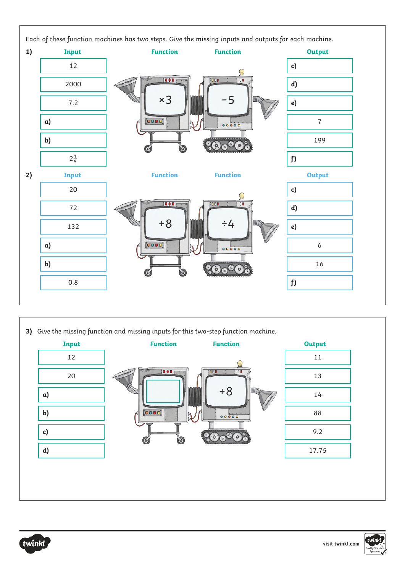

**3)** Give the missing function and missing inputs for this two-step function machine. **Input Function Function Output** 12 1  $001$  $\overline{B}$  $20$  13 +8 **a**) 14 **b)** and  $\begin{bmatrix} 0 & 0 \\ 0 & 0 \end{bmatrix}$  and  $\begin{bmatrix} 0 & 0 \\ 0 & 0 \end{bmatrix}$  and  $\begin{bmatrix} 0 & 0 \\ 0 & 0 \end{bmatrix}$  and  $\begin{bmatrix} 0 & 0 \\ 0 & 0 \end{bmatrix}$  and  $\begin{bmatrix} 0 & 0 \\ 0 & 0 \end{bmatrix}$  and  $\begin{bmatrix} 0 & 0 \\ 0 & 0 \end{bmatrix}$  and  $\begin{bmatrix} 0 & 0 \\ 0 & 0 \end{bmatrix}$  and  $\begin$ **c)** 9.2 **d)** 17.75



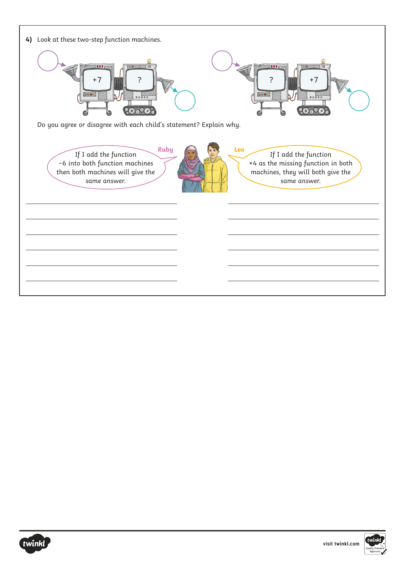